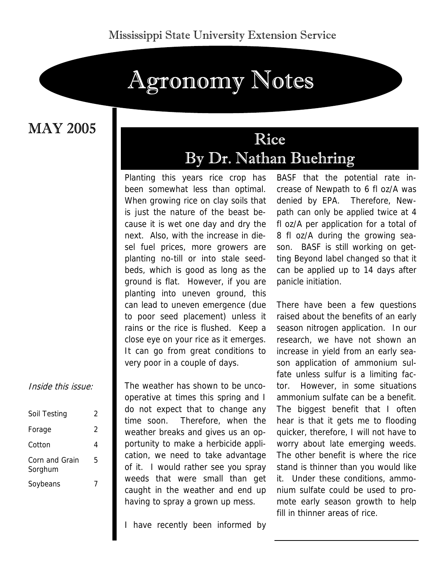# Agronomy Notes

MAY 2005

### Rice By Dr. Nathan Buehring

Planting this years rice crop has been somewhat less than optimal. When growing rice on clay soils that is just the nature of the beast because it is wet one day and dry the next. Also, with the increase in diesel fuel prices, more growers are planting no-till or into stale seedbeds, which is good as long as the ground is flat. However, if you are planting into uneven ground, this can lead to uneven emergence (due to poor seed placement) unless it rains or the rice is flushed. Keep a close eye on your rice as it emerges. It can go from great conditions to very poor in a couple of days.

The weather has shown to be uncooperative at times this spring and I do not expect that to change any time soon. Therefore, when the weather breaks and gives us an opportunity to make a herbicide application, we need to take advantage of it. I would rather see you spray weeds that were small than get caught in the weather and end up having to spray a grown up mess.

I have recently been informed by

BASF that the potential rate increase of Newpath to 6 fl oz/A was denied by EPA. Therefore, Newpath can only be applied twice at 4 fl oz/A per application for a total of 8 fl oz/A during the growing season. BASF is still working on getting Beyond label changed so that it can be applied up to 14 days after panicle initiation.

There have been a few questions raised about the benefits of an early season nitrogen application. In our research, we have not shown an increase in yield from an early season application of ammonium sulfate unless sulfur is a limiting factor. However, in some situations ammonium sulfate can be a benefit. The biggest benefit that I often hear is that it gets me to flooding quicker, therefore, I will not have to worry about late emerging weeds. The other benefit is where the rice stand is thinner than you would like it. Under these conditions, ammonium sulfate could be used to promote early season growth to help fill in thinner areas of rice.

Inside this issue:

| Soil Testing              | 2 |
|---------------------------|---|
| Forage                    | 2 |
| Cotton                    | 4 |
| Corn and Grain<br>Sorghum | 5 |
| Soybeans                  |   |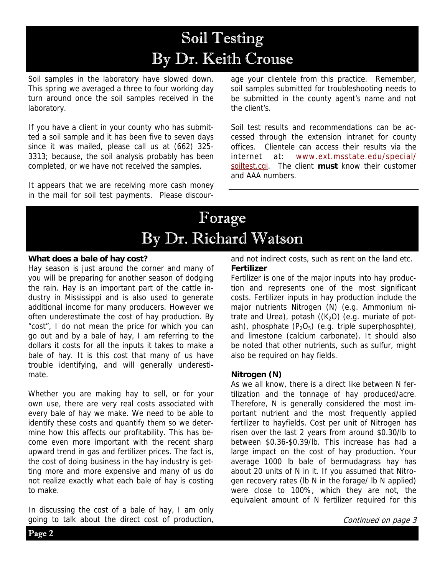## Soil Testing By Dr. Keith Crouse

Soil samples in the laboratory have slowed down. This spring we averaged a three to four working day turn around once the soil samples received in the laboratory.

If you have a client in your county who has submitted a soil sample and it has been five to seven days since it was mailed, please call us at (662) 325- 3313; because, the soil analysis probably has been completed, or we have not received the samples.

It appears that we are receiving more cash money in the mail for soil test payments. Please discourage your clientele from this practice. Remember, soil samples submitted for troubleshooting needs to be submitted in the county agent's name and not the client's.

Soil test results and recommendations can be accessed through the extension intranet for county offices. Clientele can access their results via the internet at: www.ext.msstate.edu/special/ soiltest.cgi. The client **must** know their customer and AAA numbers.

### Forage By Dr. Richard Watson

### **What does a bale of hay cost?**

Hay season is just around the corner and many of you will be preparing for another season of dodging the rain. Hay is an important part of the cattle industry in Mississippi and is also used to generate additional income for many producers. However we often underestimate the cost of hay production. By "cost", I do not mean the price for which you can go out and by a bale of hay, I am referring to the dollars it costs for all the inputs it takes to make a bale of hay. It is this cost that many of us have trouble identifying, and will generally underestimate.

Whether you are making hay to sell, or for your own use, there are very real costs associated with every bale of hay we make. We need to be able to identify these costs and quantify them so we determine how this affects our profitability. This has become even more important with the recent sharp upward trend in gas and fertilizer prices. The fact is, the cost of doing business in the hay industry is getting more and more expensive and many of us do not realize exactly what each bale of hay is costing to make.

In discussing the cost of a bale of hay, I am only going to talk about the direct cost of production,

and not indirect costs, such as rent on the land etc. **Fertilizer** 

Fertilizer is one of the major inputs into hay production and represents one of the most significant costs. Fertilizer inputs in hay production include the major nutrients Nitrogen (N) (e.g. Ammonium nitrate and Urea), potash  $((K<sub>2</sub>O)$  (e.g. muriate of potash), phosphate  $(P_2O_5)$  (e.g. triple superphosphte), and limestone (calcium carbonate). It should also be noted that other nutrients, such as sulfur, might also be required on hay fields.

### **Nitrogen (N)**

As we all know, there is a direct like between N fertilization and the tonnage of hay produced/acre. Therefore, N is generally considered the most important nutrient and the most frequently applied fertilizer to hayfields. Cost per unit of Nitrogen has risen over the last 2 years from around \$0.30/lb to between \$0.36-\$0.39/lb. This increase has had a large impact on the cost of hay production. Your average 1000 lb bale of bermudagrass hay has about 20 units of N in it. If you assumed that Nitrogen recovery rates (lb N in the forage/ lb N applied) were close to 100%, which they are not, the equivalent amount of N fertilizer required for this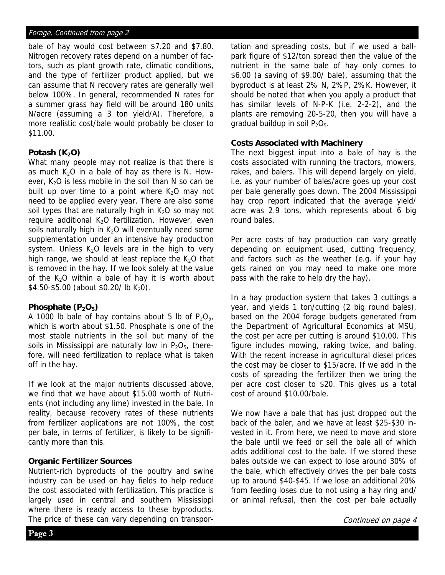### Forage, Continued from page 2

bale of hay would cost between \$7.20 and \$7.80. Nitrogen recovery rates depend on a number of factors, such as plant growth rate, climatic conditions, and the type of fertilizer product applied, but we can assume that N recovery rates are generally well below 100%. In general, recommended N rates for a summer grass hay field will be around 180 units N/acre (assuming a 3 ton yield/A). Therefore, a more realistic cost/bale would probably be closer to \$11.00.

### Potash (K<sub>2</sub>O)

What many people may not realize is that there is as much  $K<sub>2</sub>O$  in a bale of hay as there is N. However,  $K<sub>2</sub>O$  is less mobile in the soil than N so can be built up over time to a point where  $K<sub>2</sub>O$  may not need to be applied every year. There are also some soil types that are naturally high in  $K<sub>2</sub>O$  so may not require additional  $K<sub>2</sub>O$  fertilization. However, even soils naturally high in  $K<sub>2</sub>O$  will eventually need some supplementation under an intensive hay production system. Unless  $K<sub>2</sub>O$  levels are in the high to very high range, we should at least replace the  $K<sub>2</sub>O$  that is removed in the hay. If we look solely at the value of the  $K<sub>2</sub>O$  within a bale of hay it is worth about  $$4.50-$5.00$  (about \$0.20/ lb K<sub>2</sub>0).

### Phosphate (P<sub>2</sub>O<sub>5</sub>)

A 1000 lb bale of hay contains about 5 lb of  $P_2O_{5t}$ which is worth about \$1.50. Phosphate is one of the most stable nutrients in the soil but many of the soils in Mississippi are naturally low in  $P_2O_{5}$ , therefore, will need fertilization to replace what is taken off in the hay.

If we look at the major nutrients discussed above, we find that we have about \$15.00 worth of Nutrients (not including any lime) invested in the bale. In reality, because recovery rates of these nutrients from fertilizer applications are not 100%, the cost per bale, in terms of fertilizer, is likely to be significantly more than this.

### **Organic Fertilizer Sources**

Nutrient-rich byproducts of the poultry and swine industry can be used on hay fields to help reduce the cost associated with fertilization. This practice is largely used in central and southern Mississippi where there is ready access to these byproducts. The price of these can vary depending on transportation and spreading costs, but if we used a ballpark figure of \$12/ton spread then the value of the nutrient in the same bale of hay only comes to \$6.00 (a saving of \$9.00/ bale), assuming that the byproduct is at least 2% N, 2%P, 2%K. However, it should be noted that when you apply a product that has similar levels of N-P-K (i.e. 2-2-2), and the plants are removing 20-5-20, then you will have a gradual buildup in soil  $P_2O_5$ .

#### **Costs Associated with Machinery**

The next biggest input into a bale of hay is the costs associated with running the tractors, mowers, rakes, and balers. This will depend largely on yield, i.e. as your number of bales/acre goes up your cost per bale generally goes down. The 2004 Mississippi hay crop report indicated that the average yield/ acre was 2.9 tons, which represents about 6 big round bales.

Per acre costs of hay production can vary greatly depending on equipment used, cutting frequency, and factors such as the weather (e.g. if your hay gets rained on you may need to make one more pass with the rake to help dry the hay).

In a hay production system that takes 3 cuttings a year, and yields 1 ton/cutting (2 big round bales), based on the 2004 forage budgets generated from the Department of Agricultural Economics at MSU, the cost per acre per cutting is around \$10.00. This figure includes mowing, raking twice, and baling. With the recent increase in agricultural diesel prices the cost may be closer to \$15/acre. If we add in the costs of spreading the fertilizer then we bring the per acre cost closer to \$20. This gives us a total cost of around \$10.00/bale.

We now have a bale that has just dropped out the back of the baler, and we have at least \$25-\$30 invested in it. From here, we need to move and store the bale until we feed or sell the bale all of which adds additional cost to the bale. If we stored these bales outside we can expect to lose around 30% of the bale, which effectively drives the per bale costs up to around \$40-\$45. If we lose an additional 20% from feeding loses due to not using a hay ring and/ or animal refusal, then the cost per bale actually

Continued on page 4

Page 3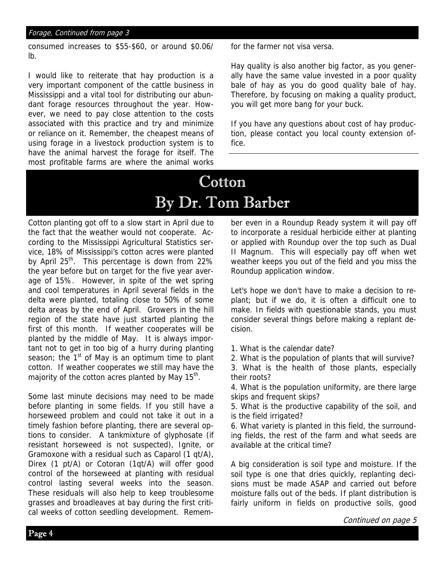### Forage, Continued from page 3

consumed increases to \$55-\$60, or around \$0.06/ lb.

I would like to reiterate that hay production is a very important component of the cattle business in Mississippi and a vital tool for distributing our abundant forage resources throughout the year. However, we need to pay close attention to the costs associated with this practice and try and minimize or reliance on it. Remember, the cheapest means of using forage in a livestock production system is to have the animal harvest the forage for itself. The most profitable farms are where the animal works for the farmer not visa versa.

Hay quality is also another big factor, as you generally have the same value invested in a poor quality bale of hay as you do good quality bale of hay. Therefore, by focusing on making a quality product, you will get more bang for your buck.

If you have any questions about cost of hay production, please contact you local county extension office.

### Cotton By Dr. Tom Barber

Cotton planting got off to a slow start in April due to the fact that the weather would not cooperate. According to the Mississippi Agricultural Statistics service, 18% of Mississippi's cotton acres were planted by April 25<sup>th</sup>. This percentage is down from 22% the year before but on target for the five year average of 15%. However, in spite of the wet spring and cool temperatures in April several fields in the delta were planted, totaling close to 50% of some delta areas by the end of April. Growers in the hill region of the state have just started planting the first of this month. If weather cooperates will be planted by the middle of May. It is always important not to get in too big of a hurry during planting season; the  $1<sup>st</sup>$  of May is an optimum time to plant cotton. If weather cooperates we still may have the majority of the cotton acres planted by May  $15<sup>th</sup>$ .

Some last minute decisions may need to be made before planting in some fields. If you still have a horseweed problem and could not take it out in a timely fashion before planting, there are several options to consider. A tankmixture of glyphosate (if resistant horseweed is not suspected), Ignite, or Gramoxone with a residual such as Caparol (1 qt/A), Direx (1 pt/A) or Cotoran (1qt/A) will offer good control of the horseweed at planting with residual control lasting several weeks into the season. These residuals will also help to keep troublesome grasses and broadleaves at bay during the first critical weeks of cotton seedling development. Remember even in a Roundup Ready system it will pay off to incorporate a residual herbicide either at planting or applied with Roundup over the top such as Dual II Magnum. This will especially pay off when wet weather keeps you out of the field and you miss the Roundup application window.

Let's hope we don't have to make a decision to replant; but if we do, it is often a difficult one to make. In fields with questionable stands, you must consider several things before making a replant decision.

1. What is the calendar date?

2. What is the population of plants that will survive?

3. What is the health of those plants, especially their roots?

4. What is the population uniformity, are there large skips and frequent skips?

5. What is the productive capability of the soil, and is the field irrigated?

6. What variety is planted in this field, the surrounding fields, the rest of the farm and what seeds are available at the critical time?

A big consideration is soil type and moisture. If the soil type is one that dries quickly, replanting decisions must be made ASAP and carried out before moisture falls out of the beds. If plant distribution is fairly uniform in fields on productive soils, good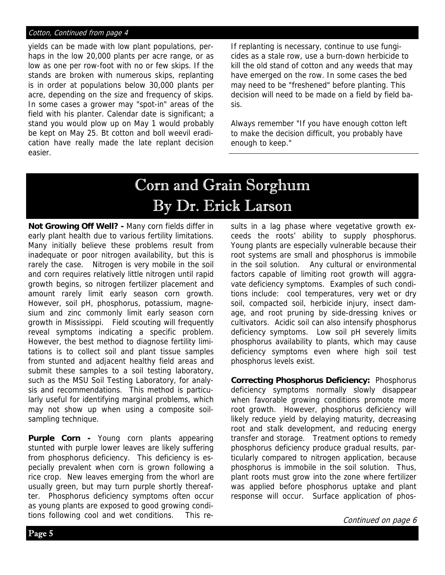### Cotton, Continued from page 4

yields can be made with low plant populations, perhaps in the low 20,000 plants per acre range, or as low as one per row-foot with no or few skips. If the stands are broken with numerous skips, replanting is in order at populations below 30,000 plants per acre, depending on the size and frequency of skips. In some cases a grower may "spot-in" areas of the field with his planter. Calendar date is significant; a stand you would plow up on May 1 would probably be kept on May 25. Bt cotton and boll weevil eradication have really made the late replant decision easier.

If replanting is necessary, continue to use fungicides as a stale row, use a burn-down herbicide to kill the old stand of cotton and any weeds that may have emerged on the row. In some cases the bed may need to be "freshened" before planting. This decision will need to be made on a field by field basis.

Always remember "If you have enough cotton left to make the decision difficult, you probably have enough to keep."

### Corn and Grain Sorghum By Dr. Erick Larson

 $\overline{a}$ 

**Not Growing Off Well? -** Many corn fields differ in early plant health due to various fertility limitations. Many initially believe these problems result from inadequate or poor nitrogen availability, but this is rarely the case. Nitrogen is very mobile in the soil and corn requires relatively little nitrogen until rapid growth begins, so nitrogen fertilizer placement and amount rarely limit early season corn growth. However, soil pH, phosphorus, potassium, magnesium and zinc commonly limit early season corn growth in Mississippi. Field scouting will frequently reveal symptoms indicating a specific problem. However, the best method to diagnose fertility limitations is to collect soil and plant tissue samples from stunted and adjacent healthy field areas and submit these samples to a soil testing laboratory, such as the MSU Soil Testing Laboratory, for analysis and recommendations. This method is particularly useful for identifying marginal problems, which may not show up when using a composite soilsampling technique.

**Purple Corn -** Young corn plants appearing stunted with purple lower leaves are likely suffering from phosphorus deficiency. This deficiency is especially prevalent when corn is grown following a rice crop. New leaves emerging from the whorl are usually green, but may turn purple shortly thereafter. Phosphorus deficiency symptoms often occur as young plants are exposed to good growing conditions following cool and wet conditions. This results in a lag phase where vegetative growth exceeds the roots' ability to supply phosphorus. Young plants are especially vulnerable because their root systems are small and phosphorus is immobile in the soil solution. Any cultural or environmental factors capable of limiting root growth will aggravate deficiency symptoms. Examples of such conditions include: cool temperatures, very wet or dry soil, compacted soil, herbicide injury, insect damage, and root pruning by side-dressing knives or cultivators. Acidic soil can also intensify phosphorus deficiency symptoms. Low soil pH severely limits phosphorus availability to plants, which may cause deficiency symptoms even where high soil test phosphorus levels exist.

**Correcting Phosphorus Deficiency:** Phosphorus deficiency symptoms normally slowly disappear when favorable growing conditions promote more root growth. However, phosphorus deficiency will likely reduce yield by delaying maturity, decreasing root and stalk development, and reducing energy transfer and storage. Treatment options to remedy phosphorus deficiency produce gradual results, particularly compared to nitrogen application, because phosphorus is immobile in the soil solution. Thus, plant roots must grow into the zone where fertilizer was applied before phosphorus uptake and plant response will occur. Surface application of phos-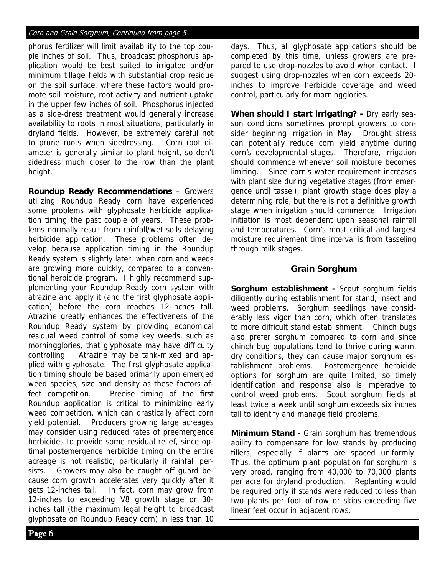### Corn and Grain Sorghum, Continued from page 5

phorus fertilizer will limit availability to the top couple inches of soil. Thus, broadcast phosphorus application would be best suited to irrigated and/or minimum tillage fields with substantial crop residue on the soil surface, where these factors would promote soil moisture, root activity and nutrient uptake in the upper few inches of soil. Phosphorus injected as a side-dress treatment would generally increase availability to roots in most situations, particularly in dryland fields. However, be extremely careful not to prune roots when sidedressing. Corn root diameter is generally similar to plant height, so don't sidedress much closer to the row than the plant height.

**Roundup Ready Recommendations** – Growers utilizing Roundup Ready corn have experienced some problems with glyphosate herbicide application timing the past couple of years. These problems normally result from rainfall/wet soils delaying herbicide application. These problems often develop because application timing in the Roundup Ready system is slightly later, when corn and weeds are growing more quickly, compared to a conventional herbicide program. I highly recommend supplementing your Roundup Ready corn system with atrazine and apply it (and the first glyphosate application) before the corn reaches 12-inches tall. Atrazine greatly enhances the effectiveness of the Roundup Ready system by providing economical residual weed control of some key weeds, such as morningglories, that glyphosate may have difficulty controlling. Atrazine may be tank-mixed and applied with glyphosate. The first glyphosate application timing should be based primarily upon emerged weed species, size and density as these factors affect competition. Precise timing of the first Roundup application is critical to minimizing early weed competition, which can drastically affect corn yield potential. Producers growing large acreages may consider using reduced rates of preemergence herbicides to provide some residual relief, since optimal postemergence herbicide timing on the entire acreage is not realistic, particularly if rainfall persists. Growers may also be caught off guard because corn growth accelerates very quickly after it gets 12-inches tall. In fact, corn may grow from 12-inches to exceeding V8 growth stage or 30 inches tall (the maximum legal height to broadcast glyphosate on Roundup Ready corn) in less than 10 days. Thus, all glyphosate applications should be completed by this time, unless growers are prepared to use drop-nozzles to avoid whorl contact. I suggest using drop-nozzles when corn exceeds 20 inches to improve herbicide coverage and weed control, particularly for morningglories.

**When should I start irrigating? -** Dry early season conditions sometimes prompt growers to consider beginning irrigation in May. Drought stress can potentially reduce corn yield anytime during corn's developmental stages. Therefore, irrigation should commence whenever soil moisture becomes limiting. Since corn's water requirement increases with plant size during vegetative stages (from emergence until tassel), plant growth stage does play a determining role, but there is not a definitive growth stage when irrigation should commence. Irrigation initiation is most dependent upon seasonal rainfall and temperatures. Corn's most critical and largest moisture requirement time interval is from tasseling through milk stages.

### **Grain Sorghum**

**Sorghum establishment -** Scout sorghum fields diligently during establishment for stand, insect and weed problems. Sorghum seedlings have considerably less vigor than corn, which often translates to more difficult stand establishment. Chinch bugs also prefer sorghum compared to corn and since chinch bug populations tend to thrive during warm, dry conditions, they can cause major sorghum establishment problems. Postemergence herbicide options for sorghum are quite limited, so timely identification and response also is imperative to control weed problems. Scout sorghum fields at least twice a week until sorghum exceeds six inches tall to identify and manage field problems.

**Minimum Stand -** Grain sorghum has tremendous ability to compensate for low stands by producing tillers, especially if plants are spaced uniformly. Thus, the optimum plant population for sorghum is very broad, ranging from 40,000 to 70,000 plants per acre for dryland production. Replanting would be required only if stands were reduced to less than two plants per foot of row or skips exceeding five linear feet occur in adjacent rows.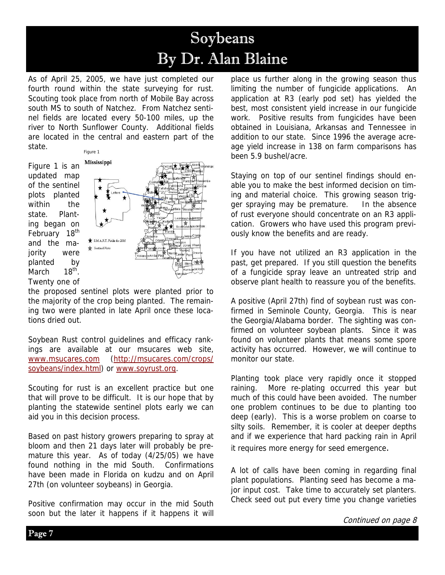### Soybeans By Dr. Alan Blaine

As of April 25, 2005, we have just completed our fourth round within the state surveying for rust. Scouting took place from north of Mobile Bay across south MS to south of Natchez. From Natchez sentinel fields are located every 50-100 miles, up the river to North Sunflower County. Additional fields are located in the central and eastern part of the state. Figure 1

Figure 1 is an updated map of the sentinel plots planted within the state. Planting began on February 18<sup>th</sup> and the majority were planted by<br>March 18<sup>th</sup> March Twenty one of



the proposed sentinel plots were planted prior to the majority of the crop being planted. The remaining two were planted in late April once these locations dried out.

Soybean Rust control guidelines and efficacy rankings are available at our msucares web site, www.msucares.com (http://msucares.com/crops/ soybeans/index.html) or www.soyrust.org.

Scouting for rust is an excellent practice but one that will prove to be difficult. It is our hope that by planting the statewide sentinel plots early we can aid you in this decision process.

Based on past history growers preparing to spray at bloom and then 21 days later will probably be premature this year. As of today (4/25/05) we have found nothing in the mid South. Confirmations have been made in Florida on kudzu and on April 27th (on volunteer soybeans) in Georgia.

Positive confirmation may occur in the mid South soon but the later it happens if it happens it will place us further along in the growing season thus limiting the number of fungicide applications. An application at R3 (early pod set) has yielded the best, most consistent yield increase in our fungicide work. Positive results from fungicides have been obtained in Louisiana, Arkansas and Tennessee in addition to our state. Since 1996 the average acreage yield increase in 138 on farm comparisons has been 5.9 bushel/acre.

Staying on top of our sentinel findings should enable you to make the best informed decision on timing and material choice. This growing season trigger spraying may be premature. In the absence of rust everyone should concentrate on an R3 application. Growers who have used this program previously know the benefits and are ready.

If you have not utilized an R3 application in the past, get prepared. If you still question the benefits of a fungicide spray leave an untreated strip and observe plant health to reassure you of the benefits.

A positive (April 27th) find of soybean rust was confirmed in Seminole County, Georgia. This is near the Georgia/Alabama border. The sighting was confirmed on volunteer soybean plants. Since it was found on volunteer plants that means some spore activity has occurred. However, we will continue to monitor our state.

Planting took place very rapidly once it stopped raining. More re-plating occurred this year but much of this could have been avoided. The number one problem continues to be due to planting too deep (early). This is a worse problem on coarse to silty soils. Remember, it is cooler at deeper depths and if we experience that hard packing rain in April it requires more energy for seed emergence.

A lot of calls have been coming in regarding final plant populations. Planting seed has become a major input cost. Take time to accurately set planters. Check seed out put every time you change varieties